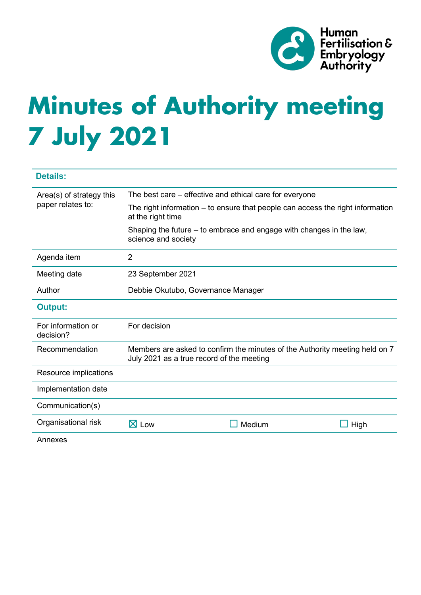

# **Minutes of Authority meeting 7 July 2021**

| <b>Details:</b>                               |                                                                                                                          |        |      |
|-----------------------------------------------|--------------------------------------------------------------------------------------------------------------------------|--------|------|
| Area(s) of strategy this<br>paper relates to: | The best care – effective and ethical care for everyone                                                                  |        |      |
|                                               | The right information – to ensure that people can access the right information<br>at the right time                      |        |      |
|                                               | Shaping the future – to embrace and engage with changes in the law,<br>science and society                               |        |      |
| Agenda item                                   | $\overline{2}$                                                                                                           |        |      |
| Meeting date                                  | 23 September 2021                                                                                                        |        |      |
| Author                                        | Debbie Okutubo, Governance Manager                                                                                       |        |      |
| <b>Output:</b>                                |                                                                                                                          |        |      |
| For information or<br>decision?               | For decision                                                                                                             |        |      |
| Recommendation                                | Members are asked to confirm the minutes of the Authority meeting held on 7<br>July 2021 as a true record of the meeting |        |      |
| Resource implications                         |                                                                                                                          |        |      |
| Implementation date                           |                                                                                                                          |        |      |
| Communication(s)                              |                                                                                                                          |        |      |
| Organisational risk                           | $\boxtimes$ Low                                                                                                          | Medium | High |
| Annexes                                       |                                                                                                                          |        |      |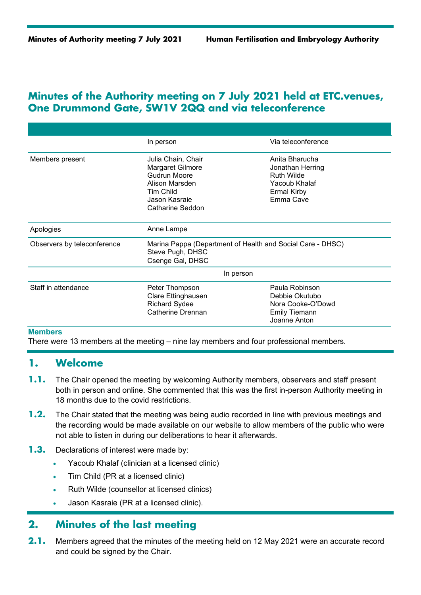## **Minutes of the Authority meeting on 7 July 2021 held at ETC.venues, One Drummond Gate, SW1V 2QQ and via teleconference**

|                             | In person                                                                                                                         | Via teleconference                                                                                          |  |
|-----------------------------|-----------------------------------------------------------------------------------------------------------------------------------|-------------------------------------------------------------------------------------------------------------|--|
| Members present             | Julia Chain, Chair<br>Margaret Gilmore<br>Gudrun Moore<br>Alison Marsden<br><b>Tim Child</b><br>Jason Kasraje<br>Catharine Seddon | Anita Bharucha<br>Jonathan Herring<br><b>Ruth Wilde</b><br>Yacoub Khalaf<br><b>Ermal Kirby</b><br>Emma Cave |  |
| Apologies                   | Anne Lampe                                                                                                                        |                                                                                                             |  |
| Observers by teleconference | Marina Pappa (Department of Health and Social Care - DHSC)<br>Steve Pugh, DHSC<br>Csenge Gal, DHSC                                |                                                                                                             |  |
|                             | In person                                                                                                                         |                                                                                                             |  |
| Staff in attendance         | Peter Thompson<br>Clare Ettinghausen<br><b>Richard Sydee</b><br>Catherine Drennan                                                 | Paula Robinson<br>Debbie Okutubo<br>Nora Cooke-O'Dowd<br><b>Emily Tiemann</b><br>Joanne Anton               |  |

#### **Members**

There were 13 members at the meeting – nine lay members and four professional members.

#### **1. Welcome**

- **1.1.** The Chair opened the meeting by welcoming Authority members, observers and staff present both in person and online. She commented that this was the first in-person Authority meeting in 18 months due to the covid restrictions.
- **1.2.** The Chair stated that the meeting was being audio recorded in line with previous meetings and the recording would be made available on our website to allow members of the public who were not able to listen in during our deliberations to hear it afterwards.
- **1.3.** Declarations of interest were made by:
	- Yacoub Khalaf (clinician at a licensed clinic)
	- Tim Child (PR at a licensed clinic)
	- Ruth Wilde (counsellor at licensed clinics)
	- Jason Kasraie (PR at a licensed clinic).

## **2. Minutes of the last meeting**

**2.1.** Members agreed that the minutes of the meeting held on 12 May 2021 were an accurate record and could be signed by the Chair.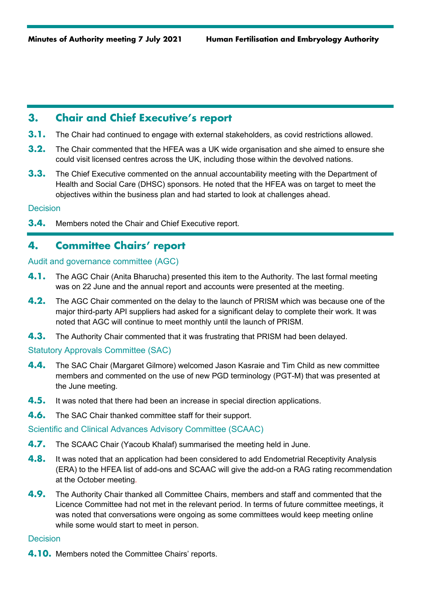## **3. Chair and Chief Executive's report**

- **3.1.** The Chair had continued to engage with external stakeholders, as covid restrictions allowed.
- **3.2.** The Chair commented that the HFEA was a UK wide organisation and she aimed to ensure she could visit licensed centres across the UK, including those within the devolved nations.
- **3.3.** The Chief Executive commented on the annual accountability meeting with the Department of Health and Social Care (DHSC) sponsors. He noted that the HFEA was on target to meet the objectives within the business plan and had started to look at challenges ahead.

#### **Decision**

**3.4.** Members noted the Chair and Chief Executive report.

## **4. Committee Chairs' report**

#### Audit and governance committee (AGC)

- **4.1.** The AGC Chair (Anita Bharucha) presented this item to the Authority. The last formal meeting was on 22 June and the annual report and accounts were presented at the meeting.
- **4.2.** The AGC Chair commented on the delay to the launch of PRISM which was because one of the major third-party API suppliers had asked for a significant delay to complete their work. It was noted that AGC will continue to meet monthly until the launch of PRISM.
- **4.3.** The Authority Chair commented that it was frustrating that PRISM had been delayed.

#### Statutory Approvals Committee (SAC)

- **4.4.** The SAC Chair (Margaret Gilmore) welcomed Jason Kasraie and Tim Child as new committee members and commented on the use of new PGD terminology (PGT-M) that was presented at the June meeting.
- **4.5.** It was noted that there had been an increase in special direction applications.
- **4.6.** The SAC Chair thanked committee staff for their support.

#### Scientific and Clinical Advances Advisory Committee (SCAAC)

- **4.7.** The SCAAC Chair (Yacoub Khalaf) summarised the meeting held in June.
- **4.8.** It was noted that an application had been considered to add Endometrial Receptivity Analysis (ERA) to the HFEA list of add-ons and SCAAC will give the add-on a RAG rating recommendation at the October meeting.
- **4.9.** The Authority Chair thanked all Committee Chairs, members and staff and commented that the Licence Committee had not met in the relevant period. In terms of future committee meetings, it was noted that conversations were ongoing as some committees would keep meeting online while some would start to meet in person.

#### **Decision**

**4.10.** Members noted the Committee Chairs' reports.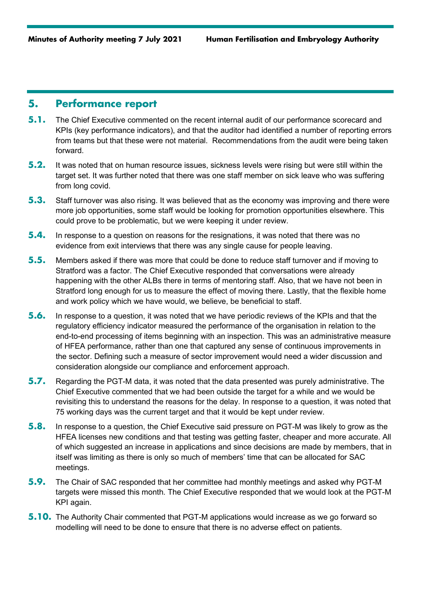### **5. Performance report**

- **5.1.** The Chief Executive commented on the recent internal audit of our performance scorecard and KPIs (key performance indicators), and that the auditor had identified a number of reporting errors from teams but that these were not material. Recommendations from the audit were being taken forward.
- **5.2.** It was noted that on human resource issues, sickness levels were rising but were still within the target set. It was further noted that there was one staff member on sick leave who was suffering from long covid.
- **5.3.** Staff turnover was also rising. It was believed that as the economy was improving and there were more job opportunities, some staff would be looking for promotion opportunities elsewhere. This could prove to be problematic, but we were keeping it under review.
- **5.4.** In response to a question on reasons for the resignations, it was noted that there was no evidence from exit interviews that there was any single cause for people leaving.
- **5.5.** Members asked if there was more that could be done to reduce staff turnover and if moving to Stratford was a factor. The Chief Executive responded that conversations were already happening with the other ALBs there in terms of mentoring staff. Also, that we have not been in Stratford long enough for us to measure the effect of moving there. Lastly, that the flexible home and work policy which we have would, we believe, be beneficial to staff.
- **5.6.** In response to a question, it was noted that we have periodic reviews of the KPIs and that the regulatory efficiency indicator measured the performance of the organisation in relation to the end-to-end processing of items beginning with an inspection. This was an administrative measure of HFEA performance, rather than one that captured any sense of continuous improvements in the sector. Defining such a measure of sector improvement would need a wider discussion and consideration alongside our compliance and enforcement approach.
- **5.7.** Regarding the PGT-M data, it was noted that the data presented was purely administrative. The Chief Executive commented that we had been outside the target for a while and we would be revisiting this to understand the reasons for the delay. In response to a question, it was noted that 75 working days was the current target and that it would be kept under review.
- **5.8.** In response to a question, the Chief Executive said pressure on PGT-M was likely to grow as the HFEA licenses new conditions and that testing was getting faster, cheaper and more accurate. All of which suggested an increase in applications and since decisions are made by members, that in itself was limiting as there is only so much of members' time that can be allocated for SAC meetings.
- **5.9.** The Chair of SAC responded that her committee had monthly meetings and asked why PGT-M targets were missed this month. The Chief Executive responded that we would look at the PGT-M KPI again.
- **5.10.** The Authority Chair commented that PGT-M applications would increase as we go forward so modelling will need to be done to ensure that there is no adverse effect on patients.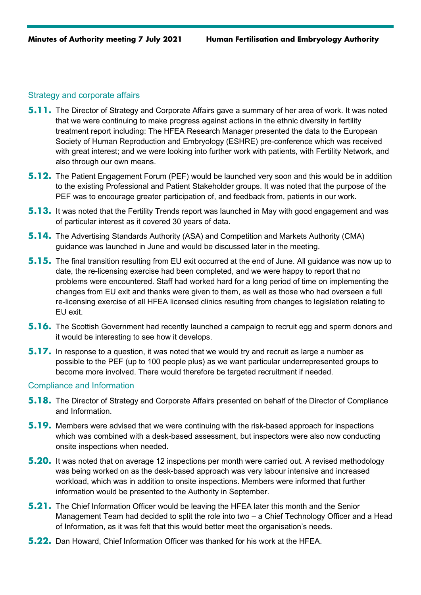#### Strategy and corporate affairs

- **5.11.** The Director of Strategy and Corporate Affairs gave a summary of her area of work. It was noted that we were continuing to make progress against actions in the ethnic diversity in fertility treatment report including: The HFEA Research Manager presented the data to the European Society of Human Reproduction and Embryology (ESHRE) pre-conference which was received with great interest; and we were looking into further work with patients, with Fertility Network, and also through our own means.
- **5.12.** The Patient Engagement Forum (PEF) would be launched very soon and this would be in addition to the existing Professional and Patient Stakeholder groups. It was noted that the purpose of the PEF was to encourage greater participation of, and feedback from, patients in our work.
- **5.13.** It was noted that the Fertility Trends report was launched in May with good engagement and was of particular interest as it covered 30 years of data.
- **5.14.** The Advertising Standards Authority (ASA) and Competition and Markets Authority (CMA) guidance was launched in June and would be discussed later in the meeting.
- **5.15.** The final transition resulting from EU exit occurred at the end of June. All guidance was now up to date, the re-licensing exercise had been completed, and we were happy to report that no problems were encountered. Staff had worked hard for a long period of time on implementing the changes from EU exit and thanks were given to them, as well as those who had overseen a full re-licensing exercise of all HFEA licensed clinics resulting from changes to legislation relating to EU exit.
- **5.16.** The Scottish Government had recently launched a campaign to recruit egg and sperm donors and it would be interesting to see how it develops.
- **5.17.** In response to a question, it was noted that we would try and recruit as large a number as possible to the PEF (up to 100 people plus) as we want particular underrepresented groups to become more involved. There would therefore be targeted recruitment if needed.

#### Compliance and Information

- **5.18.** The Director of Strategy and Corporate Affairs presented on behalf of the Director of Compliance and Information.
- **5.19.** Members were advised that we were continuing with the risk-based approach for inspections which was combined with a desk-based assessment, but inspectors were also now conducting onsite inspections when needed.
- **5.20.** It was noted that on average 12 inspections per month were carried out. A revised methodology was being worked on as the desk-based approach was very labour intensive and increased workload, which was in addition to onsite inspections. Members were informed that further information would be presented to the Authority in September.
- **5.21.** The Chief Information Officer would be leaving the HFEA later this month and the Senior Management Team had decided to split the role into two – a Chief Technology Officer and a Head of Information, as it was felt that this would better meet the organisation's needs.
- **5.22.** Dan Howard, Chief Information Officer was thanked for his work at the HFEA.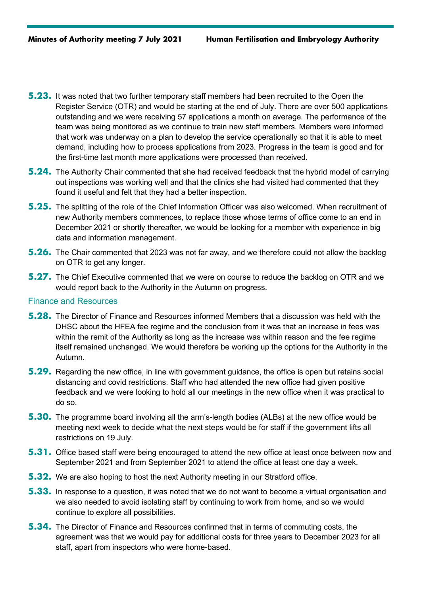- **5.23.** It was noted that two further temporary staff members had been recruited to the Open the Register Service (OTR) and would be starting at the end of July. There are over 500 applications outstanding and we were receiving 57 applications a month on average. The performance of the team was being monitored as we continue to train new staff members. Members were informed that work was underway on a plan to develop the service operationally so that it is able to meet demand, including how to process applications from 2023. Progress in the team is good and for the first-time last month more applications were processed than received.
- **5.24.** The Authority Chair commented that she had received feedback that the hybrid model of carrying out inspections was working well and that the clinics she had visited had commented that they found it useful and felt that they had a better inspection.
- **5.25.** The splitting of the role of the Chief Information Officer was also welcomed. When recruitment of new Authority members commences, to replace those whose terms of office come to an end in December 2021 or shortly thereafter, we would be looking for a member with experience in big data and information management.
- **5.26.** The Chair commented that 2023 was not far away, and we therefore could not allow the backlog on OTR to get any longer.
- **5.27.** The Chief Executive commented that we were on course to reduce the backlog on OTR and we would report back to the Authority in the Autumn on progress.

#### Finance and Resources

- **5.28.** The Director of Finance and Resources informed Members that a discussion was held with the DHSC about the HFEA fee regime and the conclusion from it was that an increase in fees was within the remit of the Authority as long as the increase was within reason and the fee regime itself remained unchanged. We would therefore be working up the options for the Authority in the Autumn.
- **5.29.** Regarding the new office, in line with government guidance, the office is open but retains social distancing and covid restrictions. Staff who had attended the new office had given positive feedback and we were looking to hold all our meetings in the new office when it was practical to do so.
- **5.30.** The programme board involving all the arm's-length bodies (ALBs) at the new office would be meeting next week to decide what the next steps would be for staff if the government lifts all restrictions on 19 July.
- **5.31.** Office based staff were being encouraged to attend the new office at least once between now and September 2021 and from September 2021 to attend the office at least one day a week.
- **5.32.** We are also hoping to host the next Authority meeting in our Stratford office.
- **5.33.** In response to a question, it was noted that we do not want to become a virtual organisation and we also needed to avoid isolating staff by continuing to work from home, and so we would continue to explore all possibilities.
- **5.34.** The Director of Finance and Resources confirmed that in terms of commuting costs, the agreement was that we would pay for additional costs for three years to December 2023 for all staff, apart from inspectors who were home-based.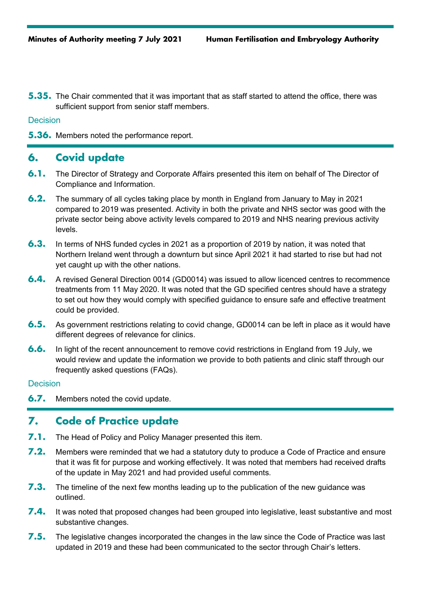**5.35.** The Chair commented that it was important that as staff started to attend the office, there was sufficient support from senior staff members.

**Decision** 

**5.36.** Members noted the performance report.

## **6. Covid update**

- **6.1.** The Director of Strategy and Corporate Affairs presented this item on behalf of The Director of Compliance and Information.
- **6.2.** The summary of all cycles taking place by month in England from January to May in 2021 compared to 2019 was presented. Activity in both the private and NHS sector was good with the private sector being above activity levels compared to 2019 and NHS nearing previous activity levels.
- **6.3.** In terms of NHS funded cycles in 2021 as a proportion of 2019 by nation, it was noted that Northern Ireland went through a downturn but since April 2021 it had started to rise but had not yet caught up with the other nations.
- **6.4.** A revised General Direction 0014 (GD0014) was issued to allow licenced centres to recommence treatments from 11 May 2020. It was noted that the GD specified centres should have a strategy to set out how they would comply with specified guidance to ensure safe and effective treatment could be provided.
- **6.5.** As government restrictions relating to covid change, GD0014 can be left in place as it would have different degrees of relevance for clinics.
- **6.6.** In light of the recent announcement to remove covid restrictions in England from 19 July, we would review and update the information we provide to both patients and clinic staff through our frequently asked questions (FAQs).

#### **Decision**

**6.7.** Members noted the covid update.

## **7. Code of Practice update**

- **7.1.** The Head of Policy and Policy Manager presented this item.
- **7.2.** Members were reminded that we had a statutory duty to produce a Code of Practice and ensure that it was fit for purpose and working effectively. It was noted that members had received drafts of the update in May 2021 and had provided useful comments.
- **7.3.** The timeline of the next few months leading up to the publication of the new guidance was outlined.
- **7.4.** It was noted that proposed changes had been grouped into legislative, least substantive and most substantive changes.
- **7.5.** The legislative changes incorporated the changes in the law since the Code of Practice was last updated in 2019 and these had been communicated to the sector through Chair's letters.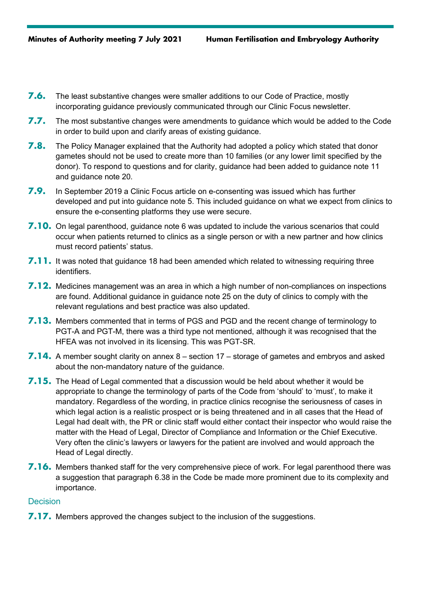- **7.6.** The least substantive changes were smaller additions to our Code of Practice, mostly incorporating guidance previously communicated through our Clinic Focus newsletter.
- **7.7.** The most substantive changes were amendments to guidance which would be added to the Code in order to build upon and clarify areas of existing guidance.
- **7.8.** The Policy Manager explained that the Authority had adopted a policy which stated that donor gametes should not be used to create more than 10 families (or any lower limit specified by the donor). To respond to questions and for clarity, guidance had been added to guidance note 11 and guidance note 20.
- **7.9.** In September 2019 a Clinic Focus article on e-consenting was issued which has further developed and put into guidance note 5. This included guidance on what we expect from clinics to ensure the e-consenting platforms they use were secure.
- **7.10.** On legal parenthood, guidance note 6 was updated to include the various scenarios that could occur when patients returned to clinics as a single person or with a new partner and how clinics must record patients' status.
- **7.11.** It was noted that guidance 18 had been amended which related to witnessing requiring three identifiers.
- **7.12.** Medicines management was an area in which a high number of non-compliances on inspections are found. Additional guidance in guidance note 25 on the duty of clinics to comply with the relevant regulations and best practice was also updated.
- **7.13.** Members commented that in terms of PGS and PGD and the recent change of terminology to PGT-A and PGT-M, there was a third type not mentioned, although it was recognised that the HFEA was not involved in its licensing. This was PGT-SR.
- **7.14.** A member sought clarity on annex 8 section 17 storage of gametes and embryos and asked about the non-mandatory nature of the guidance.
- **7.15.** The Head of Legal commented that a discussion would be held about whether it would be appropriate to change the terminology of parts of the Code from 'should' to 'must', to make it mandatory. Regardless of the wording, in practice clinics recognise the seriousness of cases in which legal action is a realistic prospect or is being threatened and in all cases that the Head of Legal had dealt with, the PR or clinic staff would either contact their inspector who would raise the matter with the Head of Legal, Director of Compliance and Information or the Chief Executive. Very often the clinic's lawyers or lawyers for the patient are involved and would approach the Head of Legal directly.
- **7.16.** Members thanked staff for the very comprehensive piece of work. For legal parenthood there was a suggestion that paragraph 6.38 in the Code be made more prominent due to its complexity and importance.

#### **Decision**

**7.17.** Members approved the changes subject to the inclusion of the suggestions.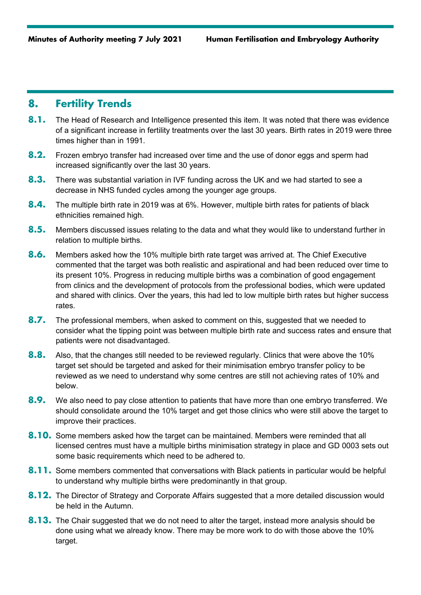## **8. Fertility Trends**

- 8.1. The Head of Research and Intelligence presented this item. It was noted that there was evidence of a significant increase in fertility treatments over the last 30 years. Birth rates in 2019 were three times higher than in 1991.
- **8.2.** Frozen embryo transfer had increased over time and the use of donor eggs and sperm had increased significantly over the last 30 years.
- **8.3.** There was substantial variation in IVF funding across the UK and we had started to see a decrease in NHS funded cycles among the younger age groups.
- **8.4.** The multiple birth rate in 2019 was at 6%. However, multiple birth rates for patients of black ethnicities remained high.
- **8.5.** Members discussed issues relating to the data and what they would like to understand further in relation to multiple births.
- **8.6.** Members asked how the 10% multiple birth rate target was arrived at. The Chief Executive commented that the target was both realistic and aspirational and had been reduced over time to its present 10%. Progress in reducing multiple births was a combination of good engagement from clinics and the development of protocols from the professional bodies, which were updated and shared with clinics. Over the years, this had led to low multiple birth rates but higher success rates.
- **8.7.** The professional members, when asked to comment on this, suggested that we needed to consider what the tipping point was between multiple birth rate and success rates and ensure that patients were not disadvantaged.
- **8.8.** Also, that the changes still needed to be reviewed regularly. Clinics that were above the 10% target set should be targeted and asked for their minimisation embryo transfer policy to be reviewed as we need to understand why some centres are still not achieving rates of 10% and below.
- **8.9.** We also need to pay close attention to patients that have more than one embryo transferred. We should consolidate around the 10% target and get those clinics who were still above the target to improve their practices.
- **8.10.** Some members asked how the target can be maintained. Members were reminded that all licensed centres must have a multiple births minimisation strategy in place and GD 0003 sets out some basic requirements which need to be adhered to.
- **8.11.** Some members commented that conversations with Black patients in particular would be helpful to understand why multiple births were predominantly in that group.
- **8.12.** The Director of Strategy and Corporate Affairs suggested that a more detailed discussion would be held in the Autumn.
- **8.13.** The Chair suggested that we do not need to alter the target, instead more analysis should be done using what we already know. There may be more work to do with those above the 10% target.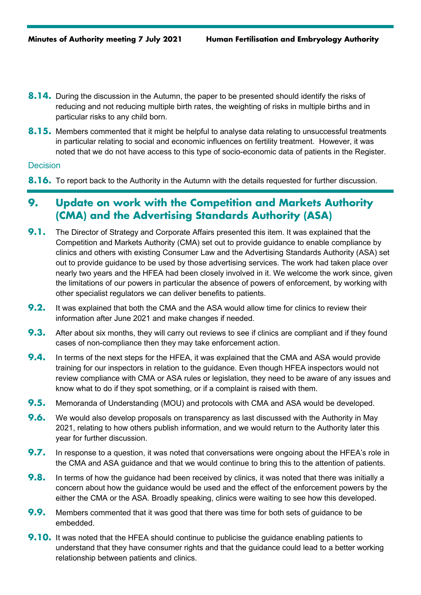- **8.14.** During the discussion in the Autumn, the paper to be presented should identify the risks of reducing and not reducing multiple birth rates, the weighting of risks in multiple births and in particular risks to any child born.
- **8.15.** Members commented that it might be helpful to analyse data relating to unsuccessful treatments in particular relating to social and economic influences on fertility treatment. However, it was noted that we do not have access to this type of socio-economic data of patients in the Register.

#### **Decision**

**8.16.** To report back to the Authority in the Autumn with the details requested for further discussion.

## **9. Update on work with the Competition and Markets Authority (CMA) and the Advertising Standards Authority (ASA)**

- **9.1.** The Director of Strategy and Corporate Affairs presented this item. It was explained that the Competition and Markets Authority (CMA) set out to provide guidance to enable compliance by clinics and others with existing Consumer Law and the Advertising Standards Authority (ASA) set out to provide guidance to be used by those advertising services. The work had taken place over nearly two years and the HFEA had been closely involved in it. We welcome the work since, given the limitations of our powers in particular the absence of powers of enforcement, by working with other specialist regulators we can deliver benefits to patients.
- **9.2.** It was explained that both the CMA and the ASA would allow time for clinics to review their information after June 2021 and make changes if needed.
- **9.3.** After about six months, they will carry out reviews to see if clinics are compliant and if they found cases of non-compliance then they may take enforcement action.
- **9.4.** In terms of the next steps for the HFEA, it was explained that the CMA and ASA would provide training for our inspectors in relation to the guidance. Even though HFEA inspectors would not review compliance with CMA or ASA rules or legislation, they need to be aware of any issues and know what to do if they spot something, or if a complaint is raised with them.
- **9.5.** Memoranda of Understanding (MOU) and protocols with CMA and ASA would be developed.
- **9.6.** We would also develop proposals on transparency as last discussed with the Authority in May 2021, relating to how others publish information, and we would return to the Authority later this year for further discussion.
- **9.7.** In response to a question, it was noted that conversations were ongoing about the HFEA's role in the CMA and ASA guidance and that we would continue to bring this to the attention of patients.
- **9.8.** In terms of how the quidance had been received by clinics, it was noted that there was initially a concern about how the guidance would be used and the effect of the enforcement powers by the either the CMA or the ASA. Broadly speaking, clinics were waiting to see how this developed.
- **9.9.** Members commented that it was good that there was time for both sets of guidance to be embedded.
- **9.10.** It was noted that the HFEA should continue to publicise the quidance enabling patients to understand that they have consumer rights and that the guidance could lead to a better working relationship between patients and clinics.